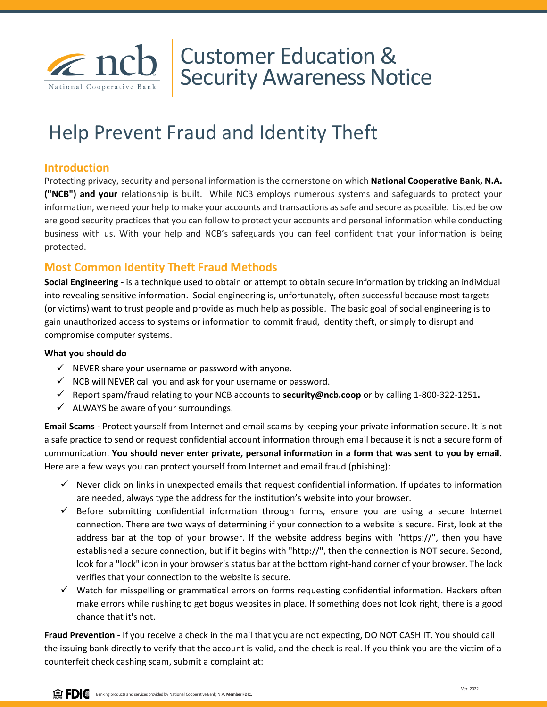

# Customer Education & Security Awareness Notice

# Help Prevent Fraud and Identity Theft

## **Introduction**

Protecting privacy, security and personal information is the cornerstone on which **National Cooperative Bank, N.A. ("NCB") and your** relationship is built. While NCB employs numerous systems and safeguards to protect your information, we need your help to make your accounts and transactions as safe and secure as possible. Listed below are good security practices that you can follow to protect your accounts and personal information while conducting business with us. With your help and NCB's safeguards you can feel confident that your information is being protected.

## **Most Common Identity Theft Fraud Methods**

**Social Engineering -** is a technique used to obtain or attempt to obtain secure information by tricking an individual into revealing sensitive information. Social engineering is, unfortunately, often successful because most targets (or victims) want to trust people and provide as much help as possible. The basic goal of social engineering is to gain unauthorized access to systems or information to commit fraud, identity theft, or simply to disrupt and compromise computer systems.

#### **What you should do**

- $\checkmark$  NEVER share your username or password with anyone.
- $\checkmark$  NCB will NEVER call you and ask for your username or password.
- ✓ Report spam/fraud relating to your NCB accounts to **security@ncb.coop** or by calling 1-800-322-1251**.**
- $\checkmark$  ALWAYS be aware of your surroundings.

**Email Scams -** Protect yourself from Internet and email scams by keeping your private information secure. It is not a safe practice to send or request confidential account information through email because it is not a secure form of communication. **You should never enter private, personal information in a form that was sent to you by email.**  Here are a few ways you can protect yourself from Internet and email fraud (phishing):

- $\checkmark$  Never click on links in unexpected emails that request confidential information. If updates to information are needed, always type the address for the institution's website into your browser.
- ✓ Before submitting confidential information through forms, ensure you are using a secure Internet connection. There are two ways of determining if your connection to a website is secure. First, look at the address bar at the top of your browser. If the website address begins with "https://", then you have established a secure connection, but if it begins with "http://", then the connection is NOT secure. Second, look for a "lock" icon in your browser's status bar at the bottom right-hand corner of your browser. The lock verifies that your connection to the website is secure.
- ✓ Watch for misspelling or grammatical errors on forms requesting confidential information. Hackers often make errors while rushing to get bogus websites in place. If something does not look right, there is a good chance that it's not.

**Fraud Prevention -** If you receive a check in the mail that you are not expecting, DO NOT CASH IT. You should call the issuing bank directly to verify that the account is valid, and the check is real. If you think you are the victim of a counterfeit check cashing scam, submit a complaint at:

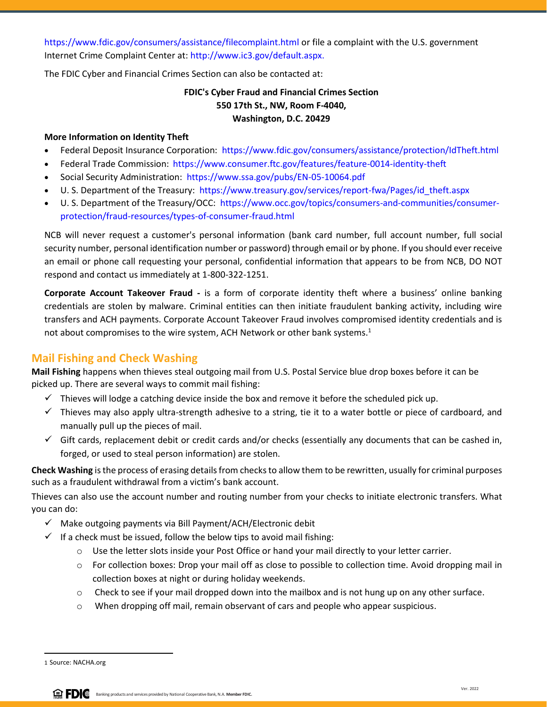https://www.fdic.gov/consumers/assistance/filecomplaint.html or file a complaint with the U.S. government Internet Crime Complaint Center at: http://www.ic3.gov/default.aspx.

The FDIC Cyber and Financial Crimes Section can also be contacted at:

## **FDIC's Cyber Fraud and Financial Crimes Section 550 17th St., NW, Room F-4040, Washington, D.C. 20429**

## **More Information on Identity Theft**

- Federal Deposit Insurance Corporation: https://www.fdic.gov/consumers/assistance/protection/IdTheft.html
- Federal Trade Commission: https://www.consumer.ftc.gov/features/feature-0014-identity-theft
- Social Security Administration: https://www.ssa.gov/pubs/EN-05-10064.pdf
- U. S. Department of the Treasury: https://www.treasury.gov/services/report-fwa/Pages/id\_theft.aspx
- U. S. Department of the Treasury/OCC: https://www.occ.gov/topics/consumers-and-communities/consumerprotection/fraud-resources/types-of-consumer-fraud.html

NCB will never request a customer's personal information (bank card number, full account number, full social security number, personal identification number or password) through email or by phone. If you should ever receive an email or phone call requesting your personal, confidential information that appears to be from NCB, DO NOT respond and contact us immediately at 1-800-322-1251.

**Corporate Account Takeover Fraud -** is a form of corporate identity theft where a business' online banking credentials are stolen by malware. Criminal entities can then initiate fraudulent banking activity, including wire transfers and ACH payments. Corporate Account Takeover Fraud involves compromised identity credentials and is not about compromises to the wire system, ACH Network or other bank systems.<sup>1</sup>

## **Mail Fishing and Check Washing**

**Mail Fishing** happens when thieves steal outgoing mail from U.S. Postal Service blue drop boxes before it can be picked up. There are several ways to commit mail fishing:

- $\checkmark$  Thieves will lodge a catching device inside the box and remove it before the scheduled pick up.
- $\checkmark$  Thieves may also apply ultra-strength adhesive to a string, tie it to a water bottle or piece of cardboard, and manually pull up the pieces of mail.
- $\checkmark$  Gift cards, replacement debit or credit cards and/or checks (essentially any documents that can be cashed in, forged, or used to steal person information) are stolen.

**Check Washing** is the process of erasing details from checks to allow them to be rewritten, usually for criminal purposes such as a fraudulent withdrawal from a victim's bank account.

Thieves can also use the account number and routing number from your checks to initiate electronic transfers. What you can do:

- ✓ Make outgoing payments via Bill Payment/ACH/Electronic debit
- $\checkmark$  If a check must be issued, follow the below tips to avoid mail fishing:
	- $\circ$  Use the letter slots inside your Post Office or hand your mail directly to your letter carrier.
	- o For collection boxes: Drop your mail off as close to possible to collection time. Avoid dropping mail in collection boxes at night or during holiday weekends.
	- $\circ$  Check to see if your mail dropped down into the mailbox and is not hung up on any other surface.
	- $\circ$  When dropping off mail, remain observant of cars and people who appear suspicious.

<sup>1</sup> Source: NACHA.org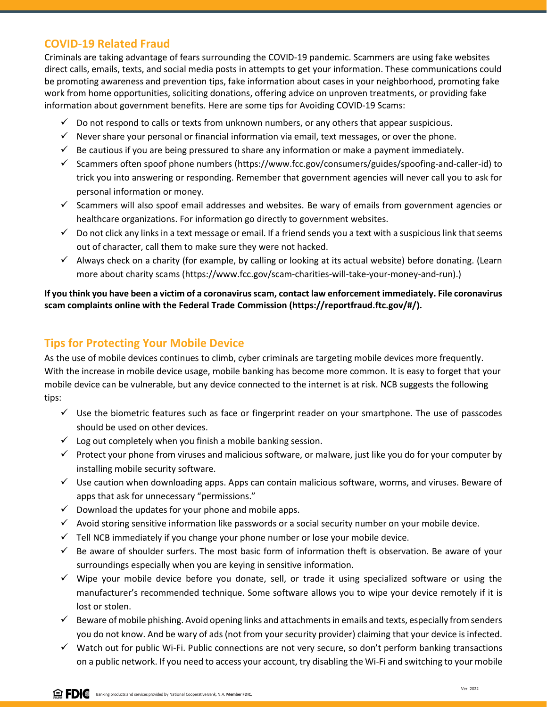## **COVID-19 Related Fraud**

Criminals are taking advantage of fears surrounding the COVID-19 pandemic. Scammers are using fake websites direct calls, emails, texts, and social media posts in attempts to get your information. These communications could be promoting awareness and prevention tips, fake information about cases in your neighborhood, promoting fake work from home opportunities, soliciting donations, offering advice on unproven treatments, or providing fake information about government benefits. Here are some tips for Avoiding COVID-19 Scams:

- $\checkmark$  Do not respond to calls or texts from unknown numbers, or any others that appear suspicious.
- $\checkmark$  Never share your personal or financial information via email, text messages, or over the phone.
- $\checkmark$  Be cautious if you are being pressured to share any information or make a payment immediately.
- $\checkmark$  Scammers often spoof phone numbers (https://www.fcc.gov/consumers/guides/spoofing-and-caller-id) to trick you into answering or responding. Remember that government agencies will never call you to ask for personal information or money.
- ✓ Scammers will also spoof email addresses and websites. Be wary of emails from government agencies or healthcare organizations. For information go directly to government websites.
- $\checkmark$  Do not click any links in a text message or email. If a friend sends you a text with a suspicious link that seems out of character, call them to make sure they were not hacked.
- $\checkmark$  Always check on a charity (for example, by calling or looking at its actual website) before donating. (Learn more about charity scams (https://www.fcc.gov/scam-charities-will-take-your-money-and-run).)

**If you think you have been a victim of a coronavirus scam, contact law enforcement immediately. File coronavirus scam complaints online with the Federal Trade Commission (https://reportfraud.ftc.gov/#/).** 

# **Tips for Protecting Your Mobile Device**

As the use of mobile devices continues to climb, cyber criminals are targeting mobile devices more frequently. With the increase in mobile device usage, mobile banking has become more common. It is easy to forget that your mobile device can be vulnerable, but any device connected to the internet is at risk. NCB suggests the following tips:

- $\checkmark$  Use the biometric features such as face or fingerprint reader on your smartphone. The use of passcodes should be used on other devices.
- $\checkmark$  Log out completely when you finish a mobile banking session.
- $\checkmark$  Protect your phone from viruses and malicious software, or malware, just like you do for your computer by installing mobile security software.
- $\checkmark$  Use caution when downloading apps. Apps can contain malicious software, worms, and viruses. Beware of apps that ask for unnecessary "permissions."
- $\checkmark$  Download the updates for your phone and mobile apps.
- ✓ Avoid storing sensitive information like passwords or a social security number on your mobile device.
- $\checkmark$  Tell NCB immediately if you change your phone number or lose your mobile device.
- ✓ Be aware of shoulder surfers. The most basic form of information theft is observation. Be aware of your surroundings especially when you are keying in sensitive information.
- $\checkmark$  Wipe your mobile device before you donate, sell, or trade it using specialized software or using the manufacturer's recommended technique. Some software allows you to wipe your device remotely if it is lost or stolen.
- ✓ Beware of mobile phishing. Avoid opening links and attachments in emails and texts, especially from senders you do not know. And be wary of ads (not from your security provider) claiming that your device is infected.
- ✓ Watch out for public Wi-Fi. Public connections are not very secure, so don't perform banking transactions on a public network. If you need to access your account, try disabling the Wi-Fi and switching to your mobile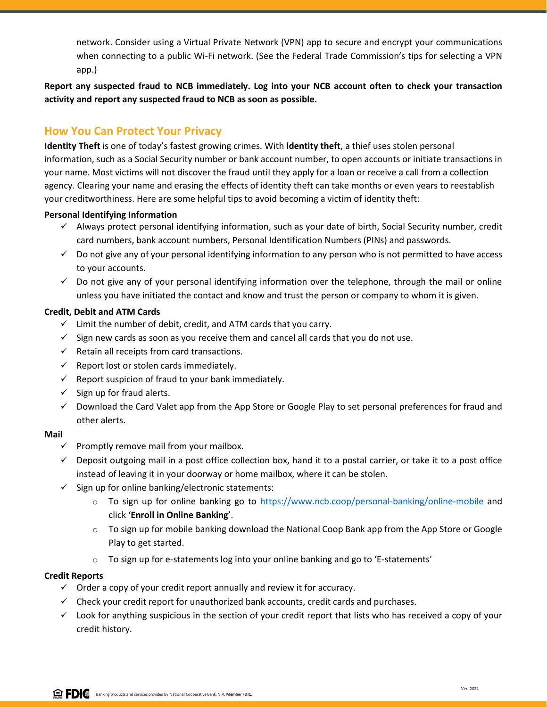network. Consider using a Virtual Private Network (VPN) app to secure and encrypt your communications when connecting to a public Wi-Fi network. (See the Federal Trade Commission's tips for selecting a VPN app.)

**Report any suspected fraud to NCB immediately. Log into your NCB account often to check your transaction activity and report any suspected fraud to NCB as soon as possible.** 

# **How You Can Protect Your Privacy**

**Identity Theft** is one of today's fastest growing crimes. With **identity theft**, a thief uses stolen personal information, such as a Social Security number or bank account number, to open accounts or initiate transactions in your name. Most victims will not discover the fraud until they apply for a loan or receive a call from a collection agency. Clearing your name and erasing the effects of identity theft can take months or even years to reestablish your creditworthiness. Here are some helpful tips to avoid becoming a victim of identity theft:

## **Personal Identifying Information**

- ✓ Always protect personal identifying information, such as your date of birth, Social Security number, credit card numbers, bank account numbers, Personal Identification Numbers (PINs) and passwords.
- ✓ Do not give any of your personal identifying information to any person who is not permitted to have access to your accounts.
- $\checkmark$  Do not give any of your personal identifying information over the telephone, through the mail or online unless you have initiated the contact and know and trust the person or company to whom it is given.

## **Credit, Debit and ATM Cards**

- $\checkmark$  Limit the number of debit, credit, and ATM cards that you carry.
- $\checkmark$  Sign new cards as soon as you receive them and cancel all cards that you do not use.
- $\checkmark$  Retain all receipts from card transactions.
- $\checkmark$  Report lost or stolen cards immediately.
- $\checkmark$  Report suspicion of fraud to your bank immediately.
- $\checkmark$  Sign up for fraud alerts.
- ✓ Download the Card Valet app from the App Store or Google Play to set personal preferences for fraud and other alerts.

## **Mail**

- $\checkmark$  Promptly remove mail from your mailbox.
- $\checkmark$  Deposit outgoing mail in a post office collection box, hand it to a postal carrier, or take it to a post office instead of leaving it in your doorway or home mailbox, where it can be stolen.
- $\checkmark$  Sign up for online banking/electronic statements:
	- $\circ$  To sign up for online banking go to <https://www.ncb.coop/personal-banking/online-mobile> and click '**Enroll in Online Banking**'.
	- $\circ$  To sign up for mobile banking download the National Coop Bank app from the App Store or Google Play to get started.
	- o To sign up for e-statements log into your online banking and go to 'E-statements'

## **Credit Reports**

- $\checkmark$  Order a copy of your credit report annually and review it for accuracy.
- $\checkmark$  Check your credit report for unauthorized bank accounts, credit cards and purchases.
- $\checkmark$  Look for anything suspicious in the section of your credit report that lists who has received a copy of your credit history.

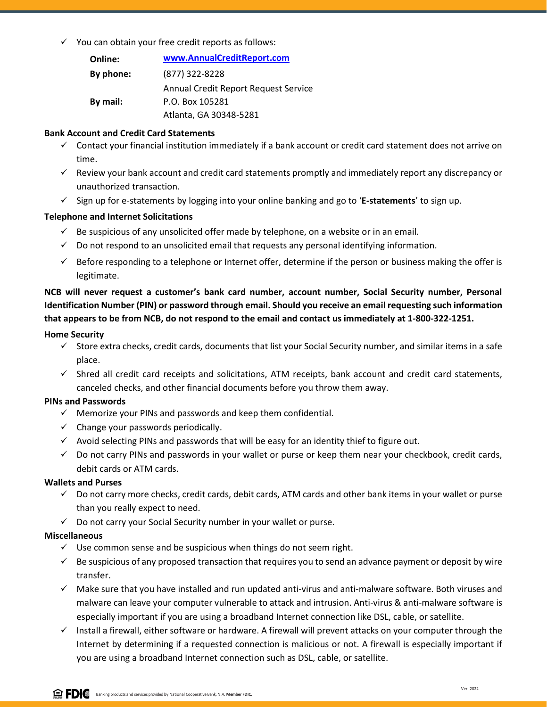$\checkmark$  You can obtain your free credit reports as follows:

| Online:   | www.AnnualCreditReport.com           |
|-----------|--------------------------------------|
| By phone: | (877) 322-8228                       |
|           | Annual Credit Report Request Service |
| By mail:  | P.O. Box 105281                      |
|           | Atlanta, GA 30348-5281               |

#### **Bank Account and Credit Card Statements**

- ✓ Contact your financial institution immediately if a bank account or credit card statement does not arrive on time.
- $\checkmark$  Review your bank account and credit card statements promptly and immediately report any discrepancy or unauthorized transaction.
- ✓ Sign up for e-statements by logging into your online banking and go to '**E-statements**' to sign up.

## **Telephone and Internet Solicitations**

- $\checkmark$  Be suspicious of any unsolicited offer made by telephone, on a website or in an email.
- $\checkmark$  Do not respond to an unsolicited email that requests any personal identifying information.
- $\checkmark$  Before responding to a telephone or Internet offer, determine if the person or business making the offer is legitimate.

**NCB will never request a customer's bank card number, account number, Social Security number, Personal Identification Number (PIN) or password through email. Should you receive an email requesting such information that appears to be from NCB, do not respond to the email and contact us immediately at 1-800-322-1251.**

#### **Home Security**

- $\checkmark$  Store extra checks, credit cards, documents that list your Social Security number, and similar items in a safe place.
- $\checkmark$  Shred all credit card receipts and solicitations, ATM receipts, bank account and credit card statements, canceled checks, and other financial documents before you throw them away.

## **PINs and Passwords**

- $\checkmark$  Memorize your PINs and passwords and keep them confidential.
- $\checkmark$  Change your passwords periodically.
- ✓ Avoid selecting PINs and passwords that will be easy for an identity thief to figure out.
- $\checkmark$  Do not carry PINs and passwords in your wallet or purse or keep them near your checkbook, credit cards, debit cards or ATM cards.

#### **Wallets and Purses**

- ✓ Do not carry more checks, credit cards, debit cards, ATM cards and other bank items in your wallet or purse than you really expect to need.
- ✓ Do not carry your Social Security number in your wallet or purse.

#### **Miscellaneous**

- $\checkmark$  Use common sense and be suspicious when things do not seem right.
- $\checkmark$  Be suspicious of any proposed transaction that requires you to send an advance payment or deposit by wire transfer.
- ✓ Make sure that you have installed and run updated anti-virus and anti-malware software. Both viruses and malware can leave your computer vulnerable to attack and intrusion. Anti-virus & anti-malware software is especially important if you are using a broadband Internet connection like DSL, cable, or satellite.
- $\checkmark$  Install a firewall, either software or hardware. A firewall will prevent attacks on your computer through the Internet by determining if a requested connection is malicious or not. A firewall is especially important if you are using a broadband Internet connection such as DSL, cable, or satellite.